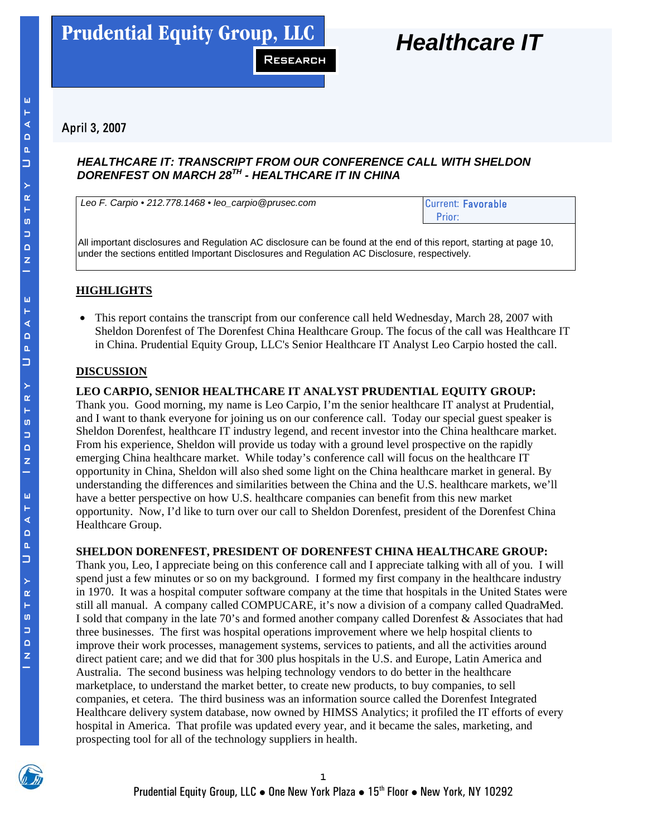

# April 3, 2007

### *HEALTHCARE IT: TRANSCRIPT FROM OUR CONFERENCE CALL WITH SHELDON DORENFEST ON MARCH 28TH - HEALTHCARE IT IN CHINA*

Research

**Carpio**

Leo F. Carpio • 212.778.1468 • leo\_carpio@prusec.com Current: Favorable

Prior:

All important disclosures and Regulation AC disclosure can be found at the end of this report, starting at page 10, under the sections entitled Important Disclosures and Regulation AC Disclosure, respectively.

# **HIGHLIGHTS**

• This report contains the transcript from our conference call held Wednesday, March 28, 2007 with Sheldon Dorenfest of The Dorenfest China Healthcare Group. The focus of the call was Healthcare IT in China. Prudential Equity Group, LLC's Senior Healthcare IT Analyst Leo Carpio hosted the call.

### **DISCUSSION**

### **LEO CARPIO, SENIOR HEALTHCARE IT ANALYST PRUDENTIAL EQUITY GROUP:**

Thank you. Good morning, my name is Leo Carpio, I'm the senior healthcare IT analyst at Prudential, and I want to thank everyone for joining us on our conference call. Today our special guest speaker is Sheldon Dorenfest, healthcare IT industry legend, and recent investor into the China healthcare market. From his experience, Sheldon will provide us today with a ground level prospective on the rapidly emerging China healthcare market. While today's conference call will focus on the healthcare IT opportunity in China, Sheldon will also shed some light on the China healthcare market in general. By understanding the differences and similarities between the China and the U.S. healthcare markets, we'll have a better perspective on how U.S. healthcare companies can benefit from this new market opportunity. Now, I'd like to turn over our call to Sheldon Dorenfest, president of the Dorenfest China Healthcare Group.

### **SHELDON DORENFEST, PRESIDENT OF DORENFEST CHINA HEALTHCARE GROUP:**

Thank you, Leo, I appreciate being on this conference call and I appreciate talking with all of you. I will spend just a few minutes or so on my background. I formed my first company in the healthcare industry in 1970. It was a hospital computer software company at the time that hospitals in the United States were still all manual. A company called COMPUCARE, it's now a division of a company called QuadraMed. I sold that company in the late 70's and formed another company called Dorenfest & Associates that had three businesses. The first was hospital operations improvement where we help hospital clients to improve their work processes, management systems, services to patients, and all the activities around direct patient care; and we did that for 300 plus hospitals in the U.S. and Europe, Latin America and Australia. The second business was helping technology vendors to do better in the healthcare marketplace, to understand the market better, to create new products, to buy companies, to sell companies, et cetera. The third business was an information source called the Dorenfest Integrated Healthcare delivery system database, now owned by HIMSS Analytics; it profiled the IT efforts of every hospital in America. That profile was updated every year, and it became the sales, marketing, and prospecting tool for all of the technology suppliers in health.



Ш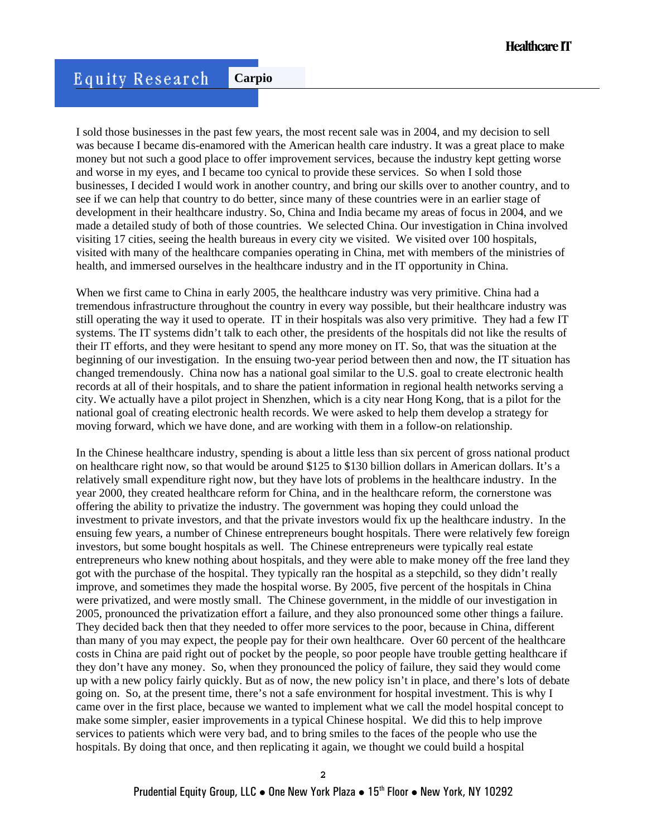I sold those businesses in the past few years, the most recent sale was in 2004, and my decision to sell was because I became dis-enamored with the American health care industry. It was a great place to make money but not such a good place to offer improvement services, because the industry kept getting worse and worse in my eyes, and I became too cynical to provide these services. So when I sold those businesses, I decided I would work in another country, and bring our skills over to another country, and to see if we can help that country to do better, since many of these countries were in an earlier stage of development in their healthcare industry. So, China and India became my areas of focus in 2004, and we made a detailed study of both of those countries. We selected China. Our investigation in China involved visiting 17 cities, seeing the health bureaus in every city we visited. We visited over 100 hospitals, visited with many of the healthcare companies operating in China, met with members of the ministries of health, and immersed ourselves in the healthcare industry and in the IT opportunity in China.

When we first came to China in early 2005, the healthcare industry was very primitive. China had a tremendous infrastructure throughout the country in every way possible, but their healthcare industry was still operating the way it used to operate. IT in their hospitals was also very primitive. They had a few IT systems. The IT systems didn't talk to each other, the presidents of the hospitals did not like the results of their IT efforts, and they were hesitant to spend any more money on IT. So, that was the situation at the beginning of our investigation. In the ensuing two-year period between then and now, the IT situation has changed tremendously. China now has a national goal similar to the U.S. goal to create electronic health records at all of their hospitals, and to share the patient information in regional health networks serving a city. We actually have a pilot project in Shenzhen, which is a city near Hong Kong, that is a pilot for the national goal of creating electronic health records. We were asked to help them develop a strategy for moving forward, which we have done, and are working with them in a follow-on relationship.

In the Chinese healthcare industry, spending is about a little less than six percent of gross national product on healthcare right now, so that would be around \$125 to \$130 billion dollars in American dollars. It's a relatively small expenditure right now, but they have lots of problems in the healthcare industry. In the year 2000, they created healthcare reform for China, and in the healthcare reform, the cornerstone was offering the ability to privatize the industry. The government was hoping they could unload the investment to private investors, and that the private investors would fix up the healthcare industry. In the ensuing few years, a number of Chinese entrepreneurs bought hospitals. There were relatively few foreign investors, but some bought hospitals as well. The Chinese entrepreneurs were typically real estate entrepreneurs who knew nothing about hospitals, and they were able to make money off the free land they got with the purchase of the hospital. They typically ran the hospital as a stepchild, so they didn't really improve, and sometimes they made the hospital worse. By 2005, five percent of the hospitals in China were privatized, and were mostly small. The Chinese government, in the middle of our investigation in 2005, pronounced the privatization effort a failure, and they also pronounced some other things a failure. They decided back then that they needed to offer more services to the poor, because in China, different than many of you may expect, the people pay for their own healthcare. Over 60 percent of the healthcare costs in China are paid right out of pocket by the people, so poor people have trouble getting healthcare if they don't have any money. So, when they pronounced the policy of failure, they said they would come up with a new policy fairly quickly. But as of now, the new policy isn't in place, and there's lots of debate going on. So, at the present time, there's not a safe environment for hospital investment. This is why I came over in the first place, because we wanted to implement what we call the model hospital concept to make some simpler, easier improvements in a typical Chinese hospital. We did this to help improve services to patients which were very bad, and to bring smiles to the faces of the people who use the hospitals. By doing that once, and then replicating it again, we thought we could build a hospital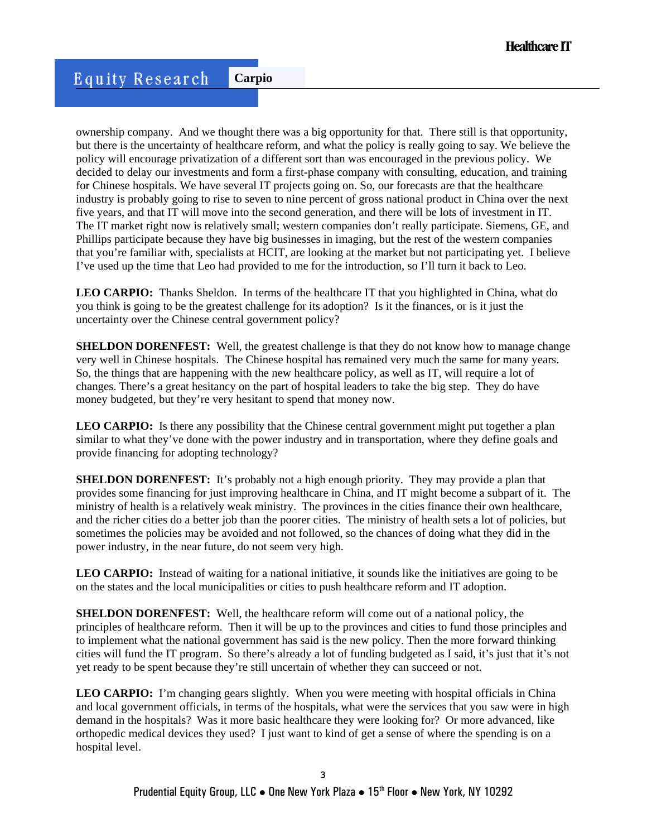ownership company. And we thought there was a big opportunity for that. There still is that opportunity, but there is the uncertainty of healthcare reform, and what the policy is really going to say. We believe the policy will encourage privatization of a different sort than was encouraged in the previous policy. We decided to delay our investments and form a first-phase company with consulting, education, and training for Chinese hospitals. We have several IT projects going on. So, our forecasts are that the healthcare industry is probably going to rise to seven to nine percent of gross national product in China over the next five years, and that IT will move into the second generation, and there will be lots of investment in IT. The IT market right now is relatively small; western companies don't really participate. Siemens, GE, and Phillips participate because they have big businesses in imaging, but the rest of the western companies that you're familiar with, specialists at HCIT, are looking at the market but not participating yet. I believe I've used up the time that Leo had provided to me for the introduction, so I'll turn it back to Leo.

**LEO CARPIO:** Thanks Sheldon. In terms of the healthcare IT that you highlighted in China, what do you think is going to be the greatest challenge for its adoption? Is it the finances, or is it just the uncertainty over the Chinese central government policy?

**SHELDON DORENFEST:** Well, the greatest challenge is that they do not know how to manage change very well in Chinese hospitals. The Chinese hospital has remained very much the same for many years. So, the things that are happening with the new healthcare policy, as well as IT, will require a lot of changes. There's a great hesitancy on the part of hospital leaders to take the big step. They do have money budgeted, but they're very hesitant to spend that money now.

LEO CARPIO: Is there any possibility that the Chinese central government might put together a plan similar to what they've done with the power industry and in transportation, where they define goals and provide financing for adopting technology?

**SHELDON DORENFEST:** It's probably not a high enough priority. They may provide a plan that provides some financing for just improving healthcare in China, and IT might become a subpart of it. The ministry of health is a relatively weak ministry. The provinces in the cities finance their own healthcare, and the richer cities do a better job than the poorer cities. The ministry of health sets a lot of policies, but sometimes the policies may be avoided and not followed, so the chances of doing what they did in the power industry, in the near future, do not seem very high.

**LEO CARPIO:** Instead of waiting for a national initiative, it sounds like the initiatives are going to be on the states and the local municipalities or cities to push healthcare reform and IT adoption.

**SHELDON DORENFEST:** Well, the healthcare reform will come out of a national policy, the principles of healthcare reform. Then it will be up to the provinces and cities to fund those principles and to implement what the national government has said is the new policy. Then the more forward thinking cities will fund the IT program. So there's already a lot of funding budgeted as I said, it's just that it's not yet ready to be spent because they're still uncertain of whether they can succeed or not.

**LEO CARPIO:** I'm changing gears slightly. When you were meeting with hospital officials in China and local government officials, in terms of the hospitals, what were the services that you saw were in high demand in the hospitals? Was it more basic healthcare they were looking for? Or more advanced, like orthopedic medical devices they used? I just want to kind of get a sense of where the spending is on a hospital level.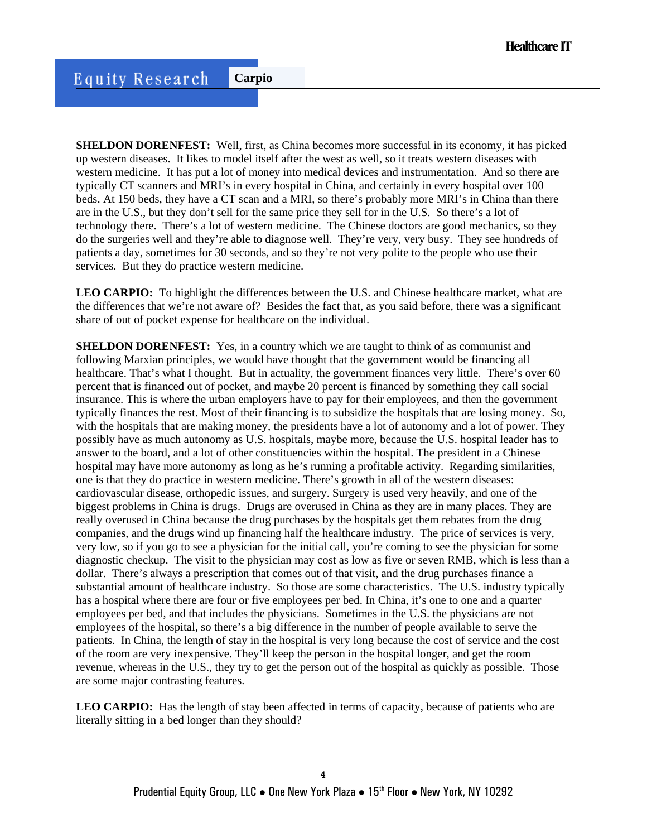**SHELDON DORENFEST:** Well, first, as China becomes more successful in its economy, it has picked up western diseases. It likes to model itself after the west as well, so it treats western diseases with western medicine. It has put a lot of money into medical devices and instrumentation. And so there are typically CT scanners and MRI's in every hospital in China, and certainly in every hospital over 100 beds. At 150 beds, they have a CT scan and a MRI, so there's probably more MRI's in China than there are in the U.S., but they don't sell for the same price they sell for in the U.S. So there's a lot of technology there. There's a lot of western medicine. The Chinese doctors are good mechanics, so they do the surgeries well and they're able to diagnose well. They're very, very busy. They see hundreds of patients a day, sometimes for 30 seconds, and so they're not very polite to the people who use their services. But they do practice western medicine.

**LEO CARPIO:** To highlight the differences between the U.S. and Chinese healthcare market, what are the differences that we're not aware of? Besides the fact that, as you said before, there was a significant share of out of pocket expense for healthcare on the individual.

**SHELDON DORENFEST:** Yes, in a country which we are taught to think of as communist and following Marxian principles, we would have thought that the government would be financing all healthcare. That's what I thought. But in actuality, the government finances very little. There's over 60 percent that is financed out of pocket, and maybe 20 percent is financed by something they call social insurance. This is where the urban employers have to pay for their employees, and then the government typically finances the rest. Most of their financing is to subsidize the hospitals that are losing money. So, with the hospitals that are making money, the presidents have a lot of autonomy and a lot of power. They possibly have as much autonomy as U.S. hospitals, maybe more, because the U.S. hospital leader has to answer to the board, and a lot of other constituencies within the hospital. The president in a Chinese hospital may have more autonomy as long as he's running a profitable activity. Regarding similarities, one is that they do practice in western medicine. There's growth in all of the western diseases: cardiovascular disease, orthopedic issues, and surgery. Surgery is used very heavily, and one of the biggest problems in China is drugs. Drugs are overused in China as they are in many places. They are really overused in China because the drug purchases by the hospitals get them rebates from the drug companies, and the drugs wind up financing half the healthcare industry. The price of services is very, very low, so if you go to see a physician for the initial call, you're coming to see the physician for some diagnostic checkup. The visit to the physician may cost as low as five or seven RMB, which is less than a dollar. There's always a prescription that comes out of that visit, and the drug purchases finance a substantial amount of healthcare industry. So those are some characteristics. The U.S. industry typically has a hospital where there are four or five employees per bed. In China, it's one to one and a quarter employees per bed, and that includes the physicians. Sometimes in the U.S. the physicians are not employees of the hospital, so there's a big difference in the number of people available to serve the patients. In China, the length of stay in the hospital is very long because the cost of service and the cost of the room are very inexpensive. They'll keep the person in the hospital longer, and get the room revenue, whereas in the U.S., they try to get the person out of the hospital as quickly as possible. Those are some major contrasting features.

**LEO CARPIO:** Has the length of stay been affected in terms of capacity, because of patients who are literally sitting in a bed longer than they should?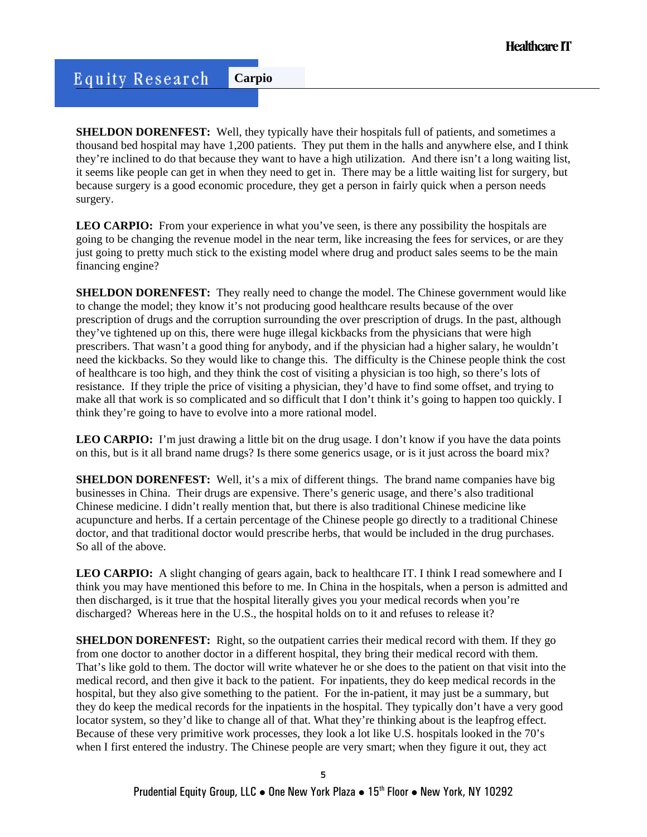**SHELDON DORENFEST:** Well, they typically have their hospitals full of patients, and sometimes a thousand bed hospital may have 1,200 patients. They put them in the halls and anywhere else, and I think they're inclined to do that because they want to have a high utilization. And there isn't a long waiting list, it seems like people can get in when they need to get in. There may be a little waiting list for surgery, but because surgery is a good economic procedure, they get a person in fairly quick when a person needs surgery.

LEO CARPIO: From your experience in what you've seen, is there any possibility the hospitals are going to be changing the revenue model in the near term, like increasing the fees for services, or are they just going to pretty much stick to the existing model where drug and product sales seems to be the main financing engine?

**SHELDON DORENFEST:** They really need to change the model. The Chinese government would like to change the model; they know it's not producing good healthcare results because of the over prescription of drugs and the corruption surrounding the over prescription of drugs. In the past, although they've tightened up on this, there were huge illegal kickbacks from the physicians that were high prescribers. That wasn't a good thing for anybody, and if the physician had a higher salary, he wouldn't need the kickbacks. So they would like to change this. The difficulty is the Chinese people think the cost of healthcare is too high, and they think the cost of visiting a physician is too high, so there's lots of resistance. If they triple the price of visiting a physician, they'd have to find some offset, and trying to make all that work is so complicated and so difficult that I don't think it's going to happen too quickly. I think they're going to have to evolve into a more rational model.

**LEO CARPIO:** I'm just drawing a little bit on the drug usage. I don't know if you have the data points on this, but is it all brand name drugs? Is there some generics usage, or is it just across the board mix?

**SHELDON DORENFEST:** Well, it's a mix of different things. The brand name companies have big businesses in China. Their drugs are expensive. There's generic usage, and there's also traditional Chinese medicine. I didn't really mention that, but there is also traditional Chinese medicine like acupuncture and herbs. If a certain percentage of the Chinese people go directly to a traditional Chinese doctor, and that traditional doctor would prescribe herbs, that would be included in the drug purchases. So all of the above.

**LEO CARPIO:** A slight changing of gears again, back to healthcare IT. I think I read somewhere and I think you may have mentioned this before to me. In China in the hospitals, when a person is admitted and then discharged, is it true that the hospital literally gives you your medical records when you're discharged? Whereas here in the U.S., the hospital holds on to it and refuses to release it?

**SHELDON DORENFEST:** Right, so the outpatient carries their medical record with them. If they go from one doctor to another doctor in a different hospital, they bring their medical record with them. That's like gold to them. The doctor will write whatever he or she does to the patient on that visit into the medical record, and then give it back to the patient. For inpatients, they do keep medical records in the hospital, but they also give something to the patient. For the in-patient, it may just be a summary, but they do keep the medical records for the inpatients in the hospital. They typically don't have a very good locator system, so they'd like to change all of that. What they're thinking about is the leapfrog effect. Because of these very primitive work processes, they look a lot like U.S. hospitals looked in the 70's when I first entered the industry. The Chinese people are very smart; when they figure it out, they act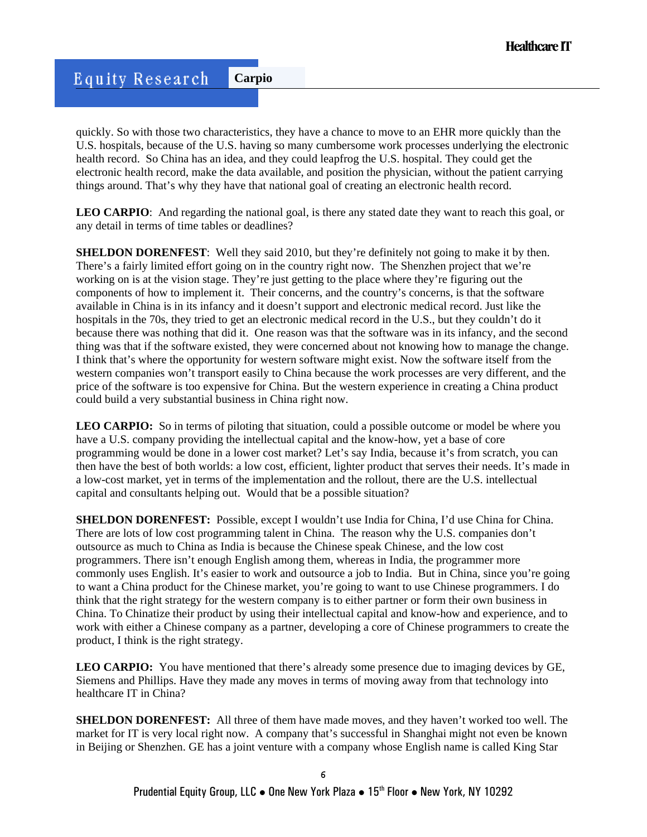quickly. So with those two characteristics, they have a chance to move to an EHR more quickly than the U.S. hospitals, because of the U.S. having so many cumbersome work processes underlying the electronic health record. So China has an idea, and they could leapfrog the U.S. hospital. They could get the electronic health record, make the data available, and position the physician, without the patient carrying things around. That's why they have that national goal of creating an electronic health record.

LEO CARPIO: And regarding the national goal, is there any stated date they want to reach this goal, or any detail in terms of time tables or deadlines?

**SHELDON DORENFEST:** Well they said 2010, but they're definitely not going to make it by then. There's a fairly limited effort going on in the country right now. The Shenzhen project that we're working on is at the vision stage. They're just getting to the place where they're figuring out the components of how to implement it. Their concerns, and the country's concerns, is that the software available in China is in its infancy and it doesn't support and electronic medical record. Just like the hospitals in the 70s, they tried to get an electronic medical record in the U.S., but they couldn't do it because there was nothing that did it. One reason was that the software was in its infancy, and the second thing was that if the software existed, they were concerned about not knowing how to manage the change. I think that's where the opportunity for western software might exist. Now the software itself from the western companies won't transport easily to China because the work processes are very different, and the price of the software is too expensive for China. But the western experience in creating a China product could build a very substantial business in China right now.

**LEO CARPIO:** So in terms of piloting that situation, could a possible outcome or model be where you have a U.S. company providing the intellectual capital and the know-how, yet a base of core programming would be done in a lower cost market? Let's say India, because it's from scratch, you can then have the best of both worlds: a low cost, efficient, lighter product that serves their needs. It's made in a low-cost market, yet in terms of the implementation and the rollout, there are the U.S. intellectual capital and consultants helping out. Would that be a possible situation?

**SHELDON DORENFEST:** Possible, except I wouldn't use India for China, I'd use China for China. There are lots of low cost programming talent in China. The reason why the U.S. companies don't outsource as much to China as India is because the Chinese speak Chinese, and the low cost programmers. There isn't enough English among them, whereas in India, the programmer more commonly uses English. It's easier to work and outsource a job to India. But in China, since you're going to want a China product for the Chinese market, you're going to want to use Chinese programmers. I do think that the right strategy for the western company is to either partner or form their own business in China. To Chinatize their product by using their intellectual capital and know-how and experience, and to work with either a Chinese company as a partner, developing a core of Chinese programmers to create the product, I think is the right strategy.

**LEO CARPIO:** You have mentioned that there's already some presence due to imaging devices by GE, Siemens and Phillips. Have they made any moves in terms of moving away from that technology into healthcare IT in China?

**SHELDON DORENFEST:** All three of them have made moves, and they haven't worked too well. The market for IT is very local right now. A company that's successful in Shanghai might not even be known in Beijing or Shenzhen. GE has a joint venture with a company whose English name is called King Star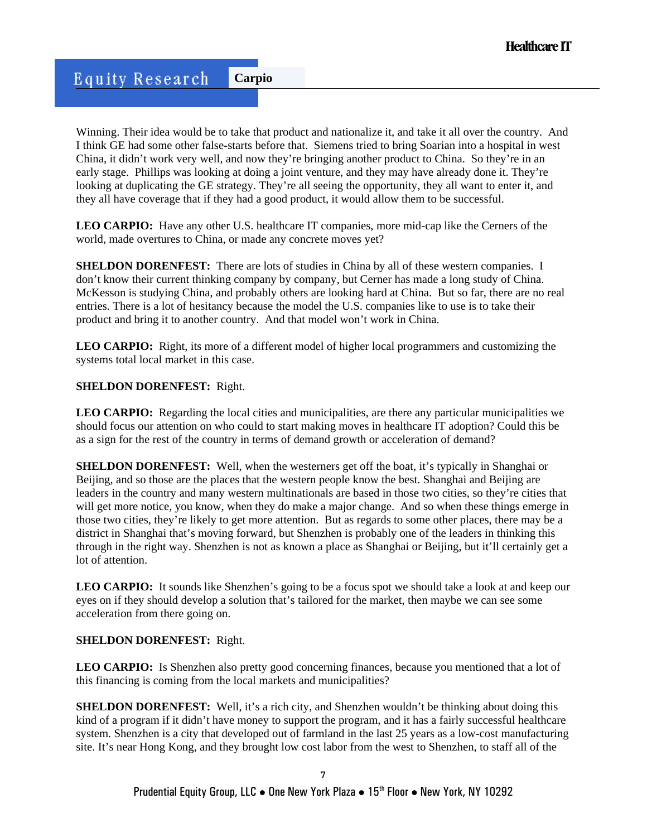Winning. Their idea would be to take that product and nationalize it, and take it all over the country. And I think GE had some other false-starts before that. Siemens tried to bring Soarian into a hospital in west China, it didn't work very well, and now they're bringing another product to China. So they're in an early stage. Phillips was looking at doing a joint venture, and they may have already done it. They're looking at duplicating the GE strategy. They're all seeing the opportunity, they all want to enter it, and they all have coverage that if they had a good product, it would allow them to be successful.

LEO CARPIO: Have any other U.S. healthcare IT companies, more mid-cap like the Cerners of the world, made overtures to China, or made any concrete moves yet?

**SHELDON DORENFEST:** There are lots of studies in China by all of these western companies. I don't know their current thinking company by company, but Cerner has made a long study of China. McKesson is studying China, and probably others are looking hard at China. But so far, there are no real entries. There is a lot of hesitancy because the model the U.S. companies like to use is to take their product and bring it to another country. And that model won't work in China.

**LEO CARPIO:** Right, its more of a different model of higher local programmers and customizing the systems total local market in this case.

### **SHELDON DORENFEST:** Right.

**LEO CARPIO:** Regarding the local cities and municipalities, are there any particular municipalities we should focus our attention on who could to start making moves in healthcare IT adoption? Could this be as a sign for the rest of the country in terms of demand growth or acceleration of demand?

**SHELDON DORENFEST:** Well, when the westerners get off the boat, it's typically in Shanghai or Beijing, and so those are the places that the western people know the best. Shanghai and Beijing are leaders in the country and many western multinationals are based in those two cities, so they're cities that will get more notice, you know, when they do make a major change. And so when these things emerge in those two cities, they're likely to get more attention. But as regards to some other places, there may be a district in Shanghai that's moving forward, but Shenzhen is probably one of the leaders in thinking this through in the right way. Shenzhen is not as known a place as Shanghai or Beijing, but it'll certainly get a lot of attention.

LEO CARPIO: It sounds like Shenzhen's going to be a focus spot we should take a look at and keep our eyes on if they should develop a solution that's tailored for the market, then maybe we can see some acceleration from there going on.

### **SHELDON DORENFEST:** Right.

LEO CARPIO: Is Shenzhen also pretty good concerning finances, because you mentioned that a lot of this financing is coming from the local markets and municipalities?

**SHELDON DORENFEST:** Well, it's a rich city, and Shenzhen wouldn't be thinking about doing this kind of a program if it didn't have money to support the program, and it has a fairly successful healthcare system. Shenzhen is a city that developed out of farmland in the last 25 years as a low-cost manufacturing site. It's near Hong Kong, and they brought low cost labor from the west to Shenzhen, to staff all of the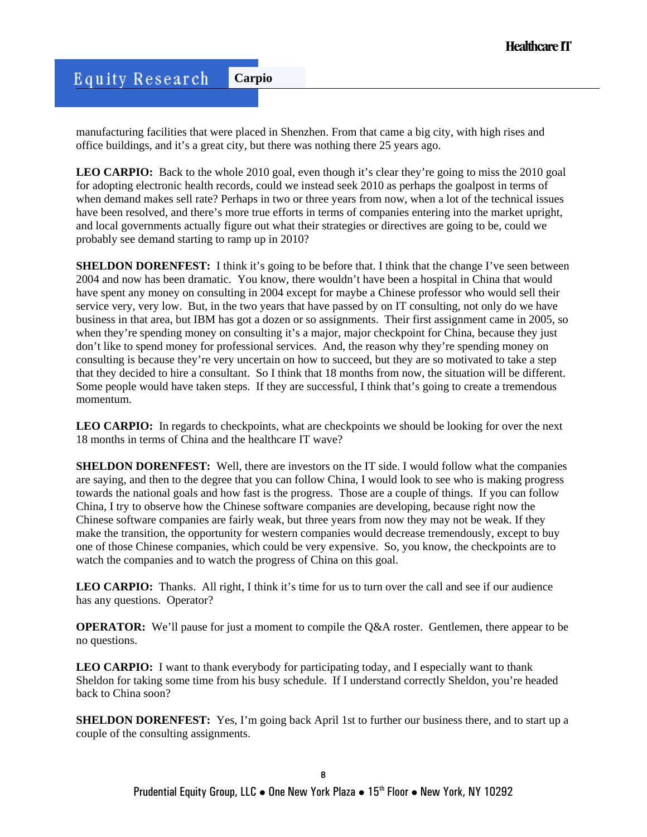manufacturing facilities that were placed in Shenzhen. From that came a big city, with high rises and office buildings, and it's a great city, but there was nothing there 25 years ago.

**LEO CARPIO:** Back to the whole 2010 goal, even though it's clear they're going to miss the 2010 goal for adopting electronic health records, could we instead seek 2010 as perhaps the goalpost in terms of when demand makes sell rate? Perhaps in two or three years from now, when a lot of the technical issues have been resolved, and there's more true efforts in terms of companies entering into the market upright, and local governments actually figure out what their strategies or directives are going to be, could we probably see demand starting to ramp up in 2010?

**SHELDON DORENFEST:** I think it's going to be before that. I think that the change I've seen between 2004 and now has been dramatic. You know, there wouldn't have been a hospital in China that would have spent any money on consulting in 2004 except for maybe a Chinese professor who would sell their service very, very low. But, in the two years that have passed by on IT consulting, not only do we have business in that area, but IBM has got a dozen or so assignments. Their first assignment came in 2005, so when they're spending money on consulting it's a major, major checkpoint for China, because they just don't like to spend money for professional services. And, the reason why they're spending money on consulting is because they're very uncertain on how to succeed, but they are so motivated to take a step that they decided to hire a consultant. So I think that 18 months from now, the situation will be different. Some people would have taken steps. If they are successful, I think that's going to create a tremendous momentum.

LEO CARPIO: In regards to checkpoints, what are checkpoints we should be looking for over the next 18 months in terms of China and the healthcare IT wave?

**SHELDON DORENFEST:** Well, there are investors on the IT side. I would follow what the companies are saying, and then to the degree that you can follow China, I would look to see who is making progress towards the national goals and how fast is the progress. Those are a couple of things. If you can follow China, I try to observe how the Chinese software companies are developing, because right now the Chinese software companies are fairly weak, but three years from now they may not be weak. If they make the transition, the opportunity for western companies would decrease tremendously, except to buy one of those Chinese companies, which could be very expensive. So, you know, the checkpoints are to watch the companies and to watch the progress of China on this goal.

LEO CARPIO: Thanks. All right, I think it's time for us to turn over the call and see if our audience has any questions. Operator?

**OPERATOR:** We'll pause for just a moment to compile the Q&A roster. Gentlemen, there appear to be no questions.

**LEO CARPIO:** I want to thank everybody for participating today, and I especially want to thank Sheldon for taking some time from his busy schedule. If I understand correctly Sheldon, you're headed back to China soon?

**SHELDON DORENFEST:** Yes, I'm going back April 1st to further our business there, and to start up a couple of the consulting assignments.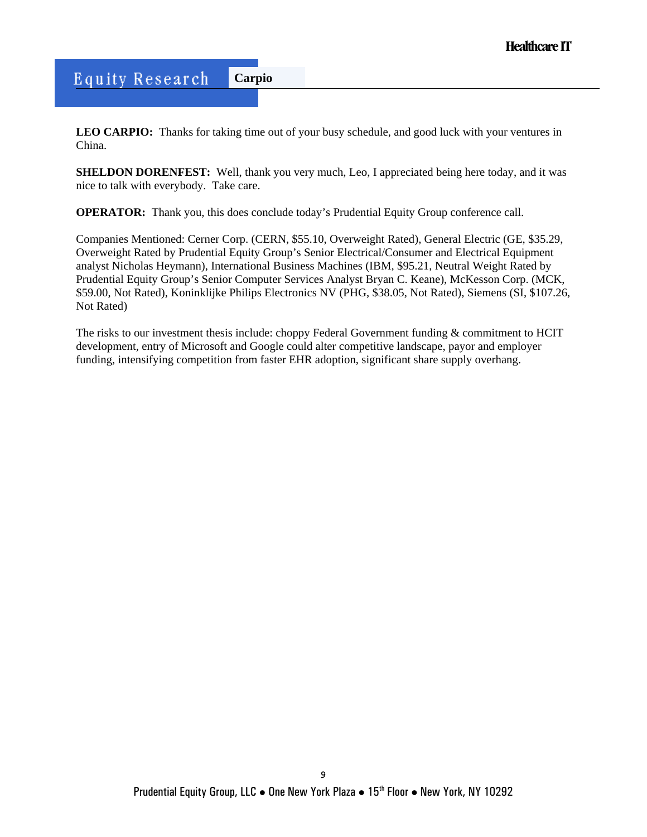**LEO CARPIO:** Thanks for taking time out of your busy schedule, and good luck with your ventures in China.

**SHELDON DORENFEST:** Well, thank you very much, Leo, I appreciated being here today, and it was nice to talk with everybody. Take care.

**OPERATOR:** Thank you, this does conclude today's Prudential Equity Group conference call.

Companies Mentioned: Cerner Corp. (CERN, \$55.10, Overweight Rated), General Electric (GE, \$35.29, Overweight Rated by Prudential Equity Group's Senior Electrical/Consumer and Electrical Equipment analyst Nicholas Heymann), International Business Machines (IBM, \$95.21, Neutral Weight Rated by Prudential Equity Group's Senior Computer Services Analyst Bryan C. Keane), McKesson Corp. (MCK, \$59.00, Not Rated), Koninklijke Philips Electronics NV (PHG, \$38.05, Not Rated), Siemens (SI, \$107.26, Not Rated)

The risks to our investment thesis include: choppy Federal Government funding & commitment to HCIT development, entry of Microsoft and Google could alter competitive landscape, payor and employer funding, intensifying competition from faster EHR adoption, significant share supply overhang.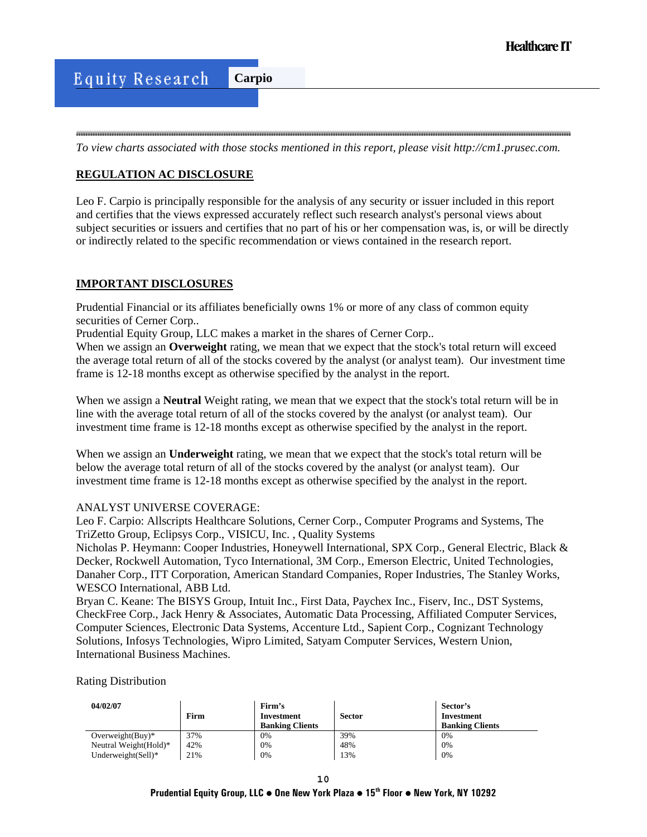*To view charts associated with those stocks mentioned in this report, please visit http://cm1.prusec.com.* 

## **REGULATION AC DISCLOSURE**

Leo F. Carpio is principally responsible for the analysis of any security or issuer included in this report and certifies that the views expressed accurately reflect such research analyst's personal views about subject securities or issuers and certifies that no part of his or her compensation was, is, or will be directly or indirectly related to the specific recommendation or views contained in the research report.

### **IMPORTANT DISCLOSURES**

Prudential Financial or its affiliates beneficially owns 1% or more of any class of common equity securities of Cerner Corp..

Prudential Equity Group, LLC makes a market in the shares of Cerner Corp..

When we assign an **Overweight** rating, we mean that we expect that the stock's total return will exceed the average total return of all of the stocks covered by the analyst (or analyst team). Our investment time frame is 12-18 months except as otherwise specified by the analyst in the report.

When we assign a **Neutral** Weight rating, we mean that we expect that the stock's total return will be in line with the average total return of all of the stocks covered by the analyst (or analyst team). Our investment time frame is 12-18 months except as otherwise specified by the analyst in the report.

When we assign an **Underweight** rating, we mean that we expect that the stock's total return will be below the average total return of all of the stocks covered by the analyst (or analyst team). Our investment time frame is 12-18 months except as otherwise specified by the analyst in the report.

### ANALYST UNIVERSE COVERAGE:

Leo F. Carpio: Allscripts Healthcare Solutions, Cerner Corp., Computer Programs and Systems, The TriZetto Group, Eclipsys Corp., VISICU, Inc. , Quality Systems

Nicholas P. Heymann: Cooper Industries, Honeywell International, SPX Corp., General Electric, Black & Decker, Rockwell Automation, Tyco International, 3M Corp., Emerson Electric, United Technologies, Danaher Corp., ITT Corporation, American Standard Companies, Roper Industries, The Stanley Works, WESCO International, ABB Ltd.

Bryan C. Keane: The BISYS Group, Intuit Inc., First Data, Paychex Inc., Fiserv, Inc., DST Systems, CheckFree Corp., Jack Henry & Associates, Automatic Data Processing, Affiliated Computer Services, Computer Sciences, Electronic Data Systems, Accenture Ltd., Sapient Corp., Cognizant Technology Solutions, Infosys Technologies, Wipro Limited, Satyam Computer Services, Western Union, International Business Machines.

Rating Distribution

| 04/02/07               | Firm | Firm's<br>Investment<br><b>Banking Clients</b> | <b>Sector</b> | Sector's<br>Investment<br><b>Banking Clients</b> |
|------------------------|------|------------------------------------------------|---------------|--------------------------------------------------|
| Overweight $(Buy)^*$   | 37%  | 0%                                             | 39%           | 0%                                               |
| Neutral Weight (Hold)* | 42%  | 0%                                             | 48%           | 0%                                               |
| Underweight $(Sell)*$  | 21%  | 0%                                             | 13%           | 0%                                               |

**Prudential Equity Group, LLC** z **One New York Plaza** z **15th Floor** z **New York, NY 10292**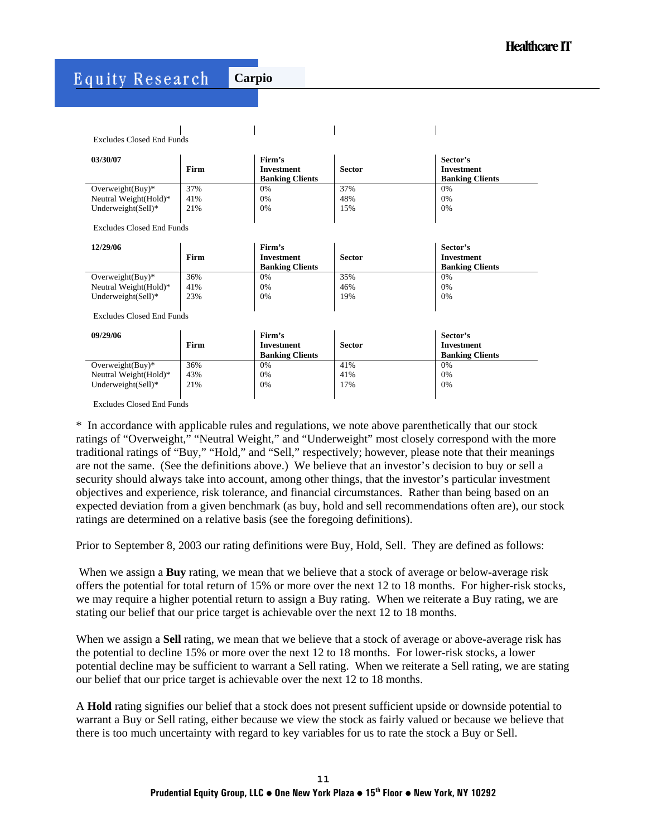# **Equity Research**

**Carpio**

Excludes Closed End Funds

| 03/30/07                                       | Firm       | Firm's<br>Investment<br><b>Banking Clients</b> | <b>Sector</b> | Sector's<br>Investment<br><b>Banking Clients</b> |
|------------------------------------------------|------------|------------------------------------------------|---------------|--------------------------------------------------|
| Overweight $(Buy)^*$<br>Neutral Weight (Hold)* | 37%<br>41% | 0%<br>0%                                       | 37%<br>48%    | 0%<br>0%                                         |
| Underweight $(Sell)*$                          | 21%        | 0%                                             | 15%           | 0%                                               |

 $\overline{\phantom{a}}$ 

Excludes Closed End Funds

| 12/29/06               | Firm | Firm's<br>Investment<br><b>Banking Clients</b> | <b>Sector</b> | Sector's<br>Investment<br><b>Banking Clients</b> |
|------------------------|------|------------------------------------------------|---------------|--------------------------------------------------|
| Overweight $(Buy)^*$   | 36%  | 0%                                             | 35%           | 0%                                               |
| Neutral Weight (Hold)* | 41%  | 0%                                             | 46%           | 0%                                               |
| Underweight $(Sell)*$  | 23%  | 0%                                             | 19%           | 0%                                               |
|                        |      |                                                |               |                                                  |

Excludes Closed End Funds

| 09/29/06               | Firm | Firm's<br>Investment<br><b>Banking Clients</b> | <b>Sector</b> | Sector's<br>Investment<br><b>Banking Clients</b> |
|------------------------|------|------------------------------------------------|---------------|--------------------------------------------------|
| Overweight $(Buy)^*$   | 36%  | 0%                                             | 41%           | 0%                                               |
| Neutral Weight (Hold)* | 43%  | 0%                                             | 41%           | 0%                                               |
| Underweight $(Sell)*$  | 21%  | 0%                                             | 17%           | 0%                                               |
|                        |      |                                                |               |                                                  |

Excludes Closed End Funds

\* In accordance with applicable rules and regulations, we note above parenthetically that our stock ratings of "Overweight," "Neutral Weight," and "Underweight" most closely correspond with the more traditional ratings of "Buy," "Hold," and "Sell," respectively; however, please note that their meanings are not the same. (See the definitions above.) We believe that an investor's decision to buy or sell a security should always take into account, among other things, that the investor's particular investment objectives and experience, risk tolerance, and financial circumstances. Rather than being based on an expected deviation from a given benchmark (as buy, hold and sell recommendations often are), our stock ratings are determined on a relative basis (see the foregoing definitions).

Prior to September 8, 2003 our rating definitions were Buy, Hold, Sell. They are defined as follows:

 When we assign a **Buy** rating, we mean that we believe that a stock of average or below-average risk offers the potential for total return of 15% or more over the next 12 to 18 months. For higher-risk stocks, we may require a higher potential return to assign a Buy rating. When we reiterate a Buy rating, we are stating our belief that our price target is achievable over the next 12 to 18 months.

When we assign a **Sell** rating, we mean that we believe that a stock of average or above-average risk has the potential to decline 15% or more over the next 12 to 18 months. For lower-risk stocks, a lower potential decline may be sufficient to warrant a Sell rating. When we reiterate a Sell rating, we are stating our belief that our price target is achievable over the next 12 to 18 months.

A **Hold** rating signifies our belief that a stock does not present sufficient upside or downside potential to warrant a Buy or Sell rating, either because we view the stock as fairly valued or because we believe that there is too much uncertainty with regard to key variables for us to rate the stock a Buy or Sell.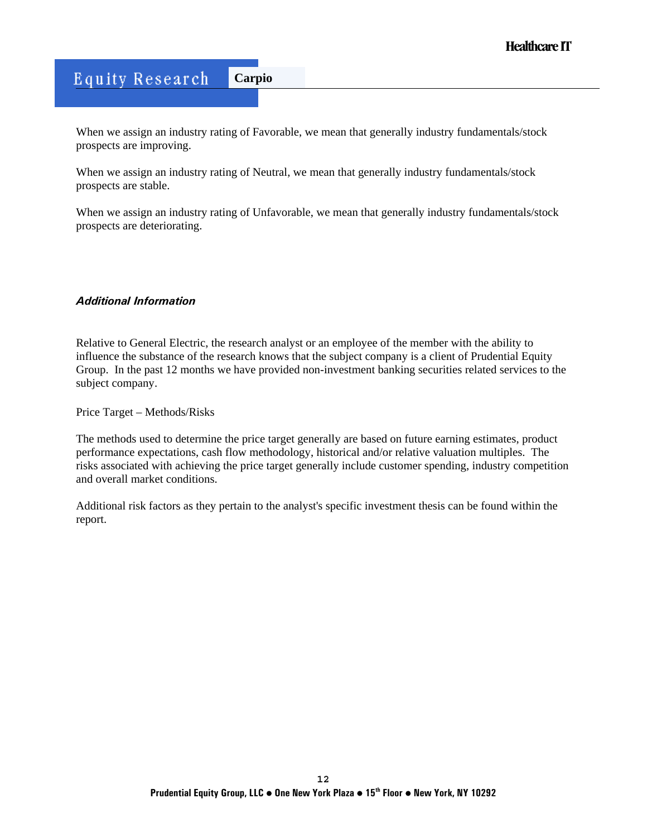When we assign an industry rating of Favorable, we mean that generally industry fundamentals/stock prospects are improving.

When we assign an industry rating of Neutral, we mean that generally industry fundamentals/stock prospects are stable.

When we assign an industry rating of Unfavorable, we mean that generally industry fundamentals/stock prospects are deteriorating.

### *Additional Information*

Relative to General Electric, the research analyst or an employee of the member with the ability to influence the substance of the research knows that the subject company is a client of Prudential Equity Group. In the past 12 months we have provided non-investment banking securities related services to the subject company.

Price Target – Methods/Risks

The methods used to determine the price target generally are based on future earning estimates, product performance expectations, cash flow methodology, historical and/or relative valuation multiples. The risks associated with achieving the price target generally include customer spending, industry competition and overall market conditions.

Additional risk factors as they pertain to the analyst's specific investment thesis can be found within the report.